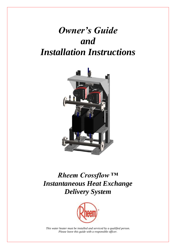# *Owner's Guide and Installation Instructions*



## *Rheem Crossflow ™ Instantaneous Heat Exchange Delivery System*



*This water heater must be installed and serviced by a qualified person. Please leave this guide with a responsible officer.*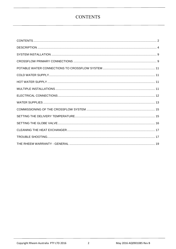### <span id="page-1-0"></span>**CONTENTS**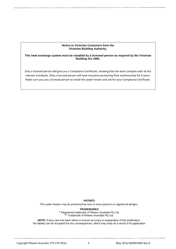#### **Notice to Victorian Customers from the Victorian Building Authority.**

#### **This heat exchange system must be installed by a licensed person as required by the Victorian Building Act 1993.**

Only a licensed person will give you a Compliance Certificate, showing that the work complies with all the relevant standards. Only a licensed person will have insurance protecting their workmanship for 6 years. Make sure you use a licensed person to install this water heater and ask for your Compliance Certificate.

#### **PATENTS**

This water heater may be protected by one or more patents or registered designs.

#### **TRADEMARKS**

® Registered trademark of Rheem Australia Pty Ltd. TM Trademark of Rheem Australia Pty Ltd.

**NOTE:** Every care has been taken to ensure accuracy in preparation of this publication. No liability can be accepted for any consequences, which may arise as a result of its application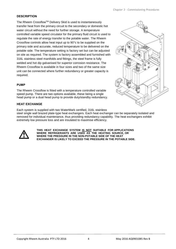#### <span id="page-3-0"></span>**DESCRIPTION**

The Rheem Crossflow™ Delivery Skid is used to instantaneously transfer heat from the primary circuit to the secondary or domestic hot water circuit without the need for further storage. A temperature controlled variable speed circulator for the primary fluid circuit is used to regulate the rate of energy transfer to the potable water. The Rheem Crossflow controls allow heat input up to 90°c to be supplied on the primary side and accurate, reduced temperature to be delivered on the potable side. The temperature setting is factory set but can be adjusted on site as required. The system is factory assembled and furnished with 316L stainless steel manifolds and fittings, the steel frame is fully welded and hot dip galvanised for superior corrosion resistance. The Rheem Crossflow is available in four sizes and two of the same size unit can be connected where further redundancy or greater capacity is required.



#### **PUMP**

The Rheem Crossflow is fitted with a temperature controlled variable speed pump. There are two options available, these being a single head pump or a dual head pump to provide duty/standby redundancy.

#### **HEAT EXCHANGE**

Each system is supplied with two WaterMark certified, 316L stainless steel single wall brazed plate-type heat exchangers. Each heat exchanger can be separately isolated and removed for individual maintenance, thus providing redundancy capability. The heat exchangers exhibit extremely low pressure loss and are insulated to maximise efficiency.



**THIS HEAT EXCHANGE SYSTEM IS NOT SUITABLE FOR APPLICATIONS WHERE REFRIGERANTS ARE USED AS THE HEATING SOURCE, OR WHERE THE PRESSURE IN THE NON-POTABLE SIDE OF THE HEAT EXCHANGER IS LIKELY TO EXCEED THE PRESSURE IN THE POTABLE SIDE.**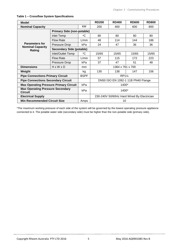| <b>Model</b>                                              |                                   |                                            | <b>RD200</b> | <b>RD400</b>                       | <b>RD600</b> | <b>RD800</b> |  |
|-----------------------------------------------------------|-----------------------------------|--------------------------------------------|--------------|------------------------------------|--------------|--------------|--|
| <b>Nominal Capacity</b>                                   |                                   | kW                                         | 200          | 400                                | 600          | 800          |  |
|                                                           | <b>Primary Side (non-potable)</b> |                                            |              |                                    |              |              |  |
|                                                           | Inlet Temp                        | °C                                         | 80           | 80                                 | 80           | 80           |  |
|                                                           | <b>Flow Rate</b>                  | L/min                                      | 48           | 114                                | 144          | 186          |  |
| <b>Parameters for</b>                                     | Pressure Drop                     | kPa                                        | 24           | 47                                 | 36           | 36           |  |
| <b>Nominal Capacity</b><br>Rating                         | <b>Secondary Side (potable)</b>   |                                            |              |                                    |              |              |  |
|                                                           | Inlet/Outlet Temp                 | °C                                         | 15/65        | 15/65                              | 15/65        | 15/65        |  |
|                                                           | <b>Flow Rate</b>                  | $L/m$ in                                   | 57           | 115                                | 172          | 223          |  |
|                                                           | Pressure Drop                     | kPa                                        | 37           | 47                                 | 51           | 48           |  |
| <b>Dimensions</b>                                         | $H \times W \times D$             | mm                                         |              | 1364 x 761 x 700                   |              |              |  |
| Weight                                                    |                                   | kg                                         | 130          | 138                                | 147          | 156          |  |
| <b>Pipe Connections Primary Circuit</b>                   |                                   | <b>BSPF</b>                                |              | $RP1\frac{1}{4}$                   |              |              |  |
| <b>Pipe Connections Secondary Circuit</b>                 |                                   |                                            |              | DN50 ISO EN 1092-1 11B PN40 Flange |              |              |  |
| <b>Max Operating Pressure Primary Circuit</b>             |                                   | kPa                                        |              | 1400*                              |              |              |  |
| <b>Max Operating Pressure Secondary</b><br><b>Circuit</b> |                                   | kPa                                        |              | 1400*                              |              |              |  |
| <b>Electrical Supply</b>                                  |                                   | 230-240V 50/60Hz Hard Wired By Electrician |              |                                    |              |              |  |
| <b>Min Recommended Circuit Size</b>                       |                                   | Amps                                       |              | 10                                 |              |              |  |

#### **Table 1 – Crossflow System Specifications**

\*The maximum working pressure of each side of the system will be governed by the lowest operating pressure appliance connected to it. The potable water side (secondary side) must be higher than the non-potable side (primary side).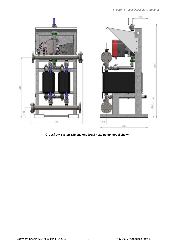

**Crossflow System Dimensions (Dual head pump model shown)**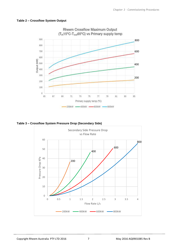#### **Table 2 – Crossflow System Output**



**Table 3 – Crossflow System Pressure Drop (Secondary Side)**

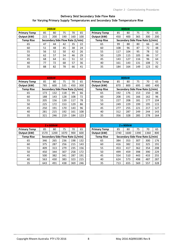#### **Delivery Skid Secondary Side Flow Rate for Varying Primary Supply Temperatures and Secondary Side Temperature Rise**

|                     | <b>200kW</b> |     |                                  |     |     |  |  |  |  |
|---------------------|--------------|-----|----------------------------------|-----|-----|--|--|--|--|
| <b>Primary Temp</b> | 85           | 80  | 75                               | 70  | 65  |  |  |  |  |
| Output (kW)         | 215          | 200 | 190                              | 160 | 100 |  |  |  |  |
| <b>Temp Rise</b>    |              |     | Secondary Side Flow Rate (L/min) |     |     |  |  |  |  |
| 65                  | 47           | 44  | 42                               | 35  | 22  |  |  |  |  |
| 60                  | 51           | 48  | 45                               | 38  | 24  |  |  |  |  |
| 55                  | 56           | 52  | 50                               | 42  | 26  |  |  |  |  |
| 50                  | 62           | 57  | 54                               | 46  | 29  |  |  |  |  |
| 45                  | 68           | 64  | 61                               | 51  | 32  |  |  |  |  |
| 40                  | 77           | 72  | 68                               | 57  | 36  |  |  |  |  |
| 35                  | 88           | 82  | 78                               | 66  | 41  |  |  |  |  |

|                     |     | <b>200kW</b> |                                  |     |     |                     |     | 400 <sub>k</sub> W               |     |     |     |
|---------------------|-----|--------------|----------------------------------|-----|-----|---------------------|-----|----------------------------------|-----|-----|-----|
| <b>Primary Temp</b> | 85  | 80           | 75                               | 70  | 65  | <b>Primary Temp</b> | 85  | 80                               | 75  | 70  | 65  |
| Output (kW)         | 215 | 200          | 190                              | 160 | 100 | Output (kW)         | 450 | 400                              | 365 | 300 | 200 |
| Temp Rise           |     |              | Secondary Side Flow Rate (L/min) |     |     | <b>Temp Rise</b>    |     | Secondary Side Flow Rate (L/min) |     |     |     |
| 65                  | 47  | 44           | 42                               | 35  | 22  | 65                  | 99  | 88                               | 80  | 66  | 44  |
| 60                  | 51  | 48           | 45                               | 38  | 24  | 60                  | 108 | 96                               | 87  | 72  | 48  |
| 55                  | 56  | 52           | 50                               | 42  | 26  | 55                  | 117 | 104                              | 95  | 78  | 52  |
| 50                  | 62  | 57           | 54                               | 46  | 29  | 50                  | 129 | 115                              | 105 | 86  | 57  |
| 45                  | 68  | 64           | 61                               | 51  | 32  | 45                  | 143 | 127                              | 116 | 96  | 64  |
| 40                  | 77  | 72           | 68                               | 57  | 36  | 40                  | 161 | 143                              | 131 | 108 | 72  |
| 35                  | 88  | 82           | 78                               | 66  | 41  | 35                  | 184 | 164                              | 149 | 123 | 82  |

|                     | 600 <sub>k</sub> w |     |                                  |     |     |  |  |  |  |
|---------------------|--------------------|-----|----------------------------------|-----|-----|--|--|--|--|
| <b>Primary Temp</b> | 85                 | 80  | 75                               | 70  | 65  |  |  |  |  |
| Output (kW)         | 785                | 600 | 535                              | 450 | 300 |  |  |  |  |
| <b>Temp Rise</b>    |                    |     | Secondary Side Flow Rate (L/min) |     |     |  |  |  |  |
| 65                  | 173                | 132 | 118                              | 99  | 66  |  |  |  |  |
| 60                  | 188                | 143 | 128                              | 108 | 72  |  |  |  |  |
| 55                  | 205                | 156 | 139                              | 117 | 78  |  |  |  |  |
| 50                  | 225                | 172 | 153                              | 129 | 86  |  |  |  |  |
| 45                  | 250                | 191 | 170                              | 143 | 96  |  |  |  |  |
| 40                  | 281                | 215 | 192                              | 161 | 108 |  |  |  |  |
| 35                  | 321                | 246 | 219                              | 184 | 123 |  |  |  |  |

|                     |     | <b>600kW</b>                            |     |     |     |                     |     | 800 <sub>k</sub> w               |     |     |     |
|---------------------|-----|-----------------------------------------|-----|-----|-----|---------------------|-----|----------------------------------|-----|-----|-----|
| <b>Primary Temp</b> | 85  | 80                                      | 75  | 70  | 65  | <b>Primary Temp</b> | 85  | 80                               | 75  | 70  | 65  |
| Output (kW)         | 785 | 600                                     | 535 | 450 | 300 | Output (kW)         | 870 | 800                              | 695 | 680 | 400 |
| Temp Rise           |     | <b>Secondary Side Flow Rate (L/min)</b> |     |     |     | <b>Temp Rise</b>    |     | Secondary Side Flow Rate (L/min) |     |     |     |
| 65                  | 173 | 132                                     | 118 | 99  | 66  | 65                  | 192 | 176                              | 153 | 150 | 88  |
| 60                  | 188 | 143                                     | 128 | 108 | 72  | 60                  | 208 | 191                              | 166 | 162 | 96  |
| 55                  | 205 | 156                                     | 139 | 117 | 78  | 55                  | 227 | 208                              | 181 | 177 | 104 |
| 50                  | 225 | 172                                     | 153 | 129 | 86  | 50                  | 249 | 229                              | 199 | 195 | 115 |
| 45                  | 250 | 191                                     | 170 | 143 | 96  | 45                  | 277 | 255                              | 221 | 217 | 127 |
| 40                  | 281 | 215                                     | 192 | 161 | 108 | 40                  | 312 | 287                              | 249 | 244 | 143 |
| 35                  | 321 | 246                                     | 219 | 184 | 123 | 35                  | 356 | 328                              | 285 | 278 | 164 |

|                     | 2 x 600kW |                                         |      |     |     |  |  |  |  |
|---------------------|-----------|-----------------------------------------|------|-----|-----|--|--|--|--|
| <b>Primary Temp</b> | 85        | 80                                      | 75   | 70  | 65  |  |  |  |  |
| Output (kW)         | 1570      | 1200                                    | 1070 | 900 | 600 |  |  |  |  |
| <b>Temp Rise</b>    |           | <b>Secondary Side Flow Rate (L/min)</b> |      |     |     |  |  |  |  |
| 65                  | 346       | 265                                     | 236  | 198 | 132 |  |  |  |  |
| 60                  | 375       | 287                                     | 256  | 215 | 143 |  |  |  |  |
| 55                  | 409       | 313                                     | 279  | 235 | 156 |  |  |  |  |
| 50                  | 450       | 344                                     | 307  | 258 | 172 |  |  |  |  |
| 45                  | 500       | 382                                     | 341  | 287 | 191 |  |  |  |  |
| 40                  | 563       | 430                                     | 383  | 323 | 215 |  |  |  |  |
| 35                  | 643       | 491                                     | 438  | 369 | 246 |  |  |  |  |

|                     |      | 2 x 600 kW |                                  |     |     |                     |      | 2 x 800 kW |      |                                  |     |
|---------------------|------|------------|----------------------------------|-----|-----|---------------------|------|------------|------|----------------------------------|-----|
| <b>Primary Temp</b> | 85   | 80         | 75                               | 70  | 65  | <b>Primary Temp</b> | 85   | 80         | 75   | 70                               | 65  |
| Output (kW)         | 1570 | 1200       | 1070                             | 900 | 600 | Output (kW)         | 1740 | 1600       | 1390 | 1360                             | 800 |
| Temp Rise           |      |            | Secondary Side Flow Rate (L/min) |     |     | Temp Rise           |      |            |      | Secondary Side Flow Rate (L/min) |     |
| 65                  | 346  | 265        | 236                              | 198 | 132 | 65                  | 384  | 353        | 307  | 300                              | 176 |
| 60                  | 375  | 287        | 256                              | 215 | 143 | 60                  | 416  | 382        | 332  | 325                              | 191 |
| 55                  | 409  | 313        | 279                              | 235 | 156 | 55                  | 453  | 417        | 362  | 354                              | 208 |
| 50                  | 450  | 344        | 307                              | 258 | 172 | 50                  | 499  | 459        | 398  | 390                              | 229 |
| 45                  | 500  | 382        | 341                              | 287 | 191 | 45                  | 554  | 510        | 443  | 433                              | 255 |
| 40                  | 563  | 430        | 383                              | 323 | 215 | 40                  | 624  | 573        | 498  | 487                              | 287 |
| 35                  | 643  | 491        | 438                              | 369 | 246 | 35                  | 713  | 655        | 569  | 557                              | 328 |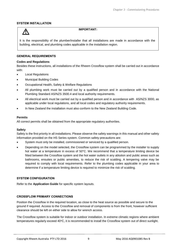#### <span id="page-8-0"></span>**SYSTEM INSTALLATION**



#### **IMPORTANT:**

It is the responsibility of the plumber/installer that all installations are made in accordance with the building, electrical, and plumbing codes applicable in the installation region.

#### **GENERAL REQUIREMENTS**

#### **Codes and Regulations**

Besides these instructions, all installations of the Rheem Crossflow system shall be carried out in accordance with:

- Local Regulations
- Municipal Building Codes
- Occupational Health, Safety & Welfare Regulations
- All plumbing work must be carried out by a qualified person and in accordance with the National Plumbing Standard AS/NZS 3500.4 and local authority requirements.
- All electrical work must be carried out by a qualified person and in accordance with AS/NZS 3000, as applicable under local regulations, and all local codes and regulatory authority requirements.
- In New Zealand the installation must also conform to the New Zealand Building Code.

#### **Permits**

All correct permits shall be obtained from the appropriate regulatory authorities.

#### **Safety**

Safety is the first priority in all installations. Please observe the safety warnings in this manual and other safety information provided on the HS Series system. Common safety precautions are:

- System must only be installed, commissioned or serviced by a qualified person.
- Depending on the model selected, the Crossflow system can be programmed by the installer to supply hot water at a temperature in excess of 50°C. We recommend that a temperature limiting device be fitted between the Crossflow system and the hot water outlets in any ablution and public areas such as bathrooms, ensuites or public amenities, to reduce the risk of scalding. A tempering valve may be required to comply with local requirements. Refer to the plumbing codes applicable in your area to determine if a temperature limiting device is required to minimize the risk of scalding.

#### **SYSTEM CONFIGURATION**

Refer to the **Application Guide** for specific system layouts.

#### <span id="page-8-1"></span>**CROSSFLOW PRIMARY CONNECTIONS**

Position the Crossflow in the required location, as close to the heat source as possible and secure to the ground if required. Access to the Crossflow and removal of components is from the front, however sufficient clearance should be left on either side to allow for wrench access.

The Crossflow system is suitable for indoor or outdoor installation. In extreme climatic regions where ambient temperatures regularly exceed 40°C, it is recommended to install the Crossflow system out of direct sunlight.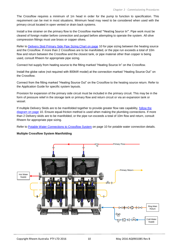The Crossflow requires a minimum of 1m head in order for the pump to function to specification. This requirement can be met in most situations. Minimum head may need to be considered when used with the primary circuit located in open vented or drain back systems.

Install a line strainer on the primary flow to the Crossflow marked "Heating Source In". Pipe work must be cleared of foreign matter before connection and purged before attempting to operate the system. All olive compression fittings must use brass or copper olives.

<span id="page-9-0"></span>Refer to [Delivery Skid Primary Side Pipe Sizing Chart on page](#page-9-0) [10](#page-9-0) for pipe sizing between the heating source and the Crossflow. If more than 2 Crossflows are to be manifolded, or the pipe run exceeds a total of 10m flow and return between the Crossflow and the closest tank, or pipe material other than copper is being used, consult Rheem for appropriate pipe sizing.

Connect hot supply from heating source to the fitting marked "Heating Source In" on the Crossflow.

Install the globe valve (not required with 800kW model) at the connection marked "Heating Source Out" on the Crossflow.

Connect from the fitting marked "Heating Source Out" on the Crossflow to the heating source return. Refer to the Application Guide for specific system layouts.

Provision for expansion of the primary side circuit must be included in the primary circuit. This may be in the form of pressure relief in the storage tank or primary flow and return circuit or via an expansion tank or vessel.

If multiple Delivery Skids are to be manifolded together to provide greater flow rate capability, [follow the](#page-9-1)  [diagram on page](#page-9-1) [10.](#page-9-1) Ensure equal-friction method is used when making the plumbing connections. If more than 2 Delivery skids are to be manifolded, or the pipe run exceeds a total of 10m flow and return, consult Rheem for appropriate pipe sizing.

<span id="page-9-2"></span>Refer to [Potable Water Connections to Crossflow System](#page-9-2) on page [10](#page-9-2) for potable water connection details.

#### <span id="page-9-1"></span>**Multiple Crossflow System Manifolding**

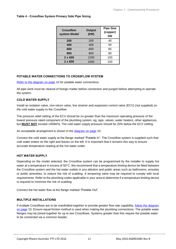#### **Table 4 - Crossflow System Primary Side Pipe Sizing**

| <b>Crossflow</b><br>system Model | Output<br>(kW) | <b>Pipe Size</b><br>(copper)<br>DN |
|----------------------------------|----------------|------------------------------------|
| 200                              | 200            | 40                                 |
| 400                              | 400            | 50                                 |
| 600                              | 600            | 65                                 |
| 800                              | 800            | 80                                 |
| $2 \times 600$                   | 1200           | 100                                |
| 2 x 800                          | 1600           | 100                                |

#### <span id="page-10-0"></span>**POTABLE WATER CONNECTIONS TO CROSSFLOW SYSTEM**

[Refer to the diagram on page](#page-9-1) [10](#page-9-1) for potable water connections.

All pipe work must be cleared of foreign matter before connection and purged before attempting to operate the system.

#### <span id="page-10-1"></span>**COLD WATER SUPPLY**

Install an isolation valve, non-return valve, line strainer and expansion control valve (ECV) (not supplied) on the cold water supply to the Crossflow.

The pressure relief setting of the ECV should be no greater than the maximum operating pressure of the lowest pressure rated component of the plumbing system, eg, taps, valves, water heaters, other appliances, but **MUST NOT** exceed 1400kPa. The cold water supply pressure should be 20% below the ECV setting.

An acceptable arrangement is shown in the [diagram](#page-9-1) on page [10.](#page-9-1)

Connect the cold water supply at the flange marked "Potable In". The Crossflow system is supplied such that cold water enters on the right and leaves on the left. It is important that it remains this way to ensure accurate temperature reading at the hot water outlet.

#### <span id="page-10-2"></span>**HOT WATER SUPPLY**

Depending on the model selected, the Crossflow system can be programmed by the installer to supply hot water at a temperature in excess of 50°C. We recommend that a temperature limiting device be fitted between the Crossflow system and the hot water outlets in any ablution and public areas such as bathrooms, ensuites or public amenities, to reduce the risk of scalding. A tempering valve may be required to comply with local requirements. Refer to the plumbing codes applicable in your area to determine if a temperature limiting device is required to minimize the risk of scalding.

Connect the hot water flow at the flange marked "Potable Out".

#### <span id="page-10-3"></span>**MULTIPLE INSTALLATIONS**

If multiple Crossflows are to be manifolded together to provide greater flow rate capability, [follow the diagram](#page-9-1)  [on page](#page-9-1) [10.](#page-9-1) Ensure equal-friction method is used when making the plumbing connections. The potable water flanges may be joined together for up to two Crossflows. Systems greater than this require the potable water to be connected via a common header.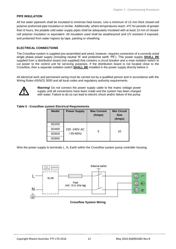#### **PIPE INSULATION**

All hot water pipework shall be insulated to minimise heat losses. Use a minimum of 13 mm thick closed-cell polymer preformed pipe insulation or similar. Additionally, where temperatures reach -4ºC for periods of greater than 8 hours, the potable cold water supply pipes shall be adequately insulated with at least 13 mm of closedcell polymer insulation or equivalent. All insulation used shall be weatherproof and UV resistant if exposed, and protected from water ingress by tape, painting or sheathing.

#### <span id="page-11-0"></span>**ELECTRICAL CONNECTIONS**

The Crossflow system is supplied pre-assembled and wired, however, requires connection of a correctly sized single phase power supply (including neutral 'N' and protective earth 'PE'). This power supply **SHALL BE** supplied from a distribution board (not supplied) that contains a circuit breaker and a main isolation switch to cut power to the control unit for servicing purposes. If the distribution board is not located close to the Crossflow, then a separate isolation switch **SHALL BE** installed in the power supply directly before it.

All electrical work and permanent wiring must be carried out by a qualified person and in accordance with the Wiring Rules AS/NZS 3000 and all local codes and regulatory authority requirements.



**Warning!** Do not connect the power supply cable to the mains voltage power supply until all connections have been made and the system has been charged with water. Failure to do so can lead to electric shock and/or failure of the pump.

#### **Table 5 - Crossflow system Electrical Requirements**

| <b>Model</b> | <b>Power Supply</b> | <b>Max Current</b><br>(Amps) | <b>Min Circuit</b><br><b>Size</b><br>(Amps) |
|--------------|---------------------|------------------------------|---------------------------------------------|
| SD200        |                     |                              |                                             |
| SD400        | 220 - 240 VAC       | 5                            | 10                                          |
| SD600        | /50-60Hz            |                              |                                             |
| SD800        |                     |                              |                                             |

Wire the power supply to terminals L, N, Earth within the Crossflow system pump controller housing.



**Crossflow System Wiring**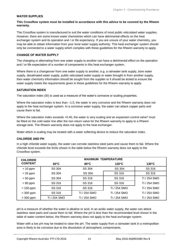#### <span id="page-12-0"></span>**WATER SUPPLIES**

#### **This Crossflow system must be installed in accordance with this advice to be covered by the Rheem warranty.**

The Crossflow system is manufactured to suit the water conditions of most public reticulated water supplies. However, there are some known water chemistries which can have detrimental effects on the heat exchanger system and its operation and / or life expectancy. If you are unsure of your water chemistry, you may be able to obtain information from your local water supply authority. This heat exchanger system should only be connected to a water supply which complies with these guidelines for the Rheem warranty to apply.

#### **CHANGE OF WATER SUPPLY**

The changing or alternating from one water supply to another can have a detrimental effect on the operation and / or life expectation of a number of components in this heat exchanger system.

Where there is a changeover from one water supply to another, e.g. a rainwater tank supply, bore water supply, desalinated water supply, public reticulated water supply or water brought in from another supply, then water chemistry information should be sought from the supplier or it should be tested to ensure the water supply meets the requirements given in these guidelines for the Rheem warranty to apply.

#### **SATURATION INDEX**

The saturation index (SI) is used as a measure of the water's corrosive or scaling properties.

Where the saturation index is less than  $-1.0$ , the water is very corrosive and the Rheem warranty does not apply to the heat exchanger system. In a corrosive water supply, the water can attack copper parts and cause them to fail.

Where the saturation index exceeds +0.40, the water is very scaling and an expansion control valve\* must be fitted on the cold water line after the non-return valve for the Rheem warranty to apply to a Rheem storage tank. The Rheem warranty does not apply to the heat exchanger.

Water which is scaling may be treated with a water softening device to reduce the saturation index.

#### **CHLORIDE AND PH**

In a high chloride water supply, the water can corrode stainless steel parts and cause them to fail. Where the chloride level exceeds the limits shown in the table below the Rheem warranty does not apply to the Crossflow system.

| <b>CHLORIDE</b> | <b>MAXIMUM TEMPERATURE</b> |                |                 |                 |  |  |  |
|-----------------|----------------------------|----------------|-----------------|-----------------|--|--|--|
| <b>CONTENT</b>  | $60^{\circ}$ C             | $80^{\circ}$ C | $120^{\circ}$ C | $130^{\circ}$ C |  |  |  |
| $= 10$ ppm      | SS 304                     | SS 304         | SS 304          | SS 316          |  |  |  |
| $= 25$ ppm      | SS 304                     | SS 304         | SS 316          | SS 316          |  |  |  |
| $= 50$ ppm      | SS 304                     | SS 316         | SS 316          | Ti / 254 SMO    |  |  |  |
| $= 80$ ppm      | SS 316                     | SS 316         | SS 316          | Ti / 254 SMO    |  |  |  |
| $= 150$ ppm     | SS 316                     | SS 316         | Ti / 254 SMO    | Ti / 254 SMO    |  |  |  |
| $= 300$ ppm     | SS 316                     | Ti / 254 SMO   | Ti / 254 SMO    | Ti / 254 SMO    |  |  |  |
| $>$ 300 ppm     | Ti / 254 SMO               | Ti / 254 SMO   | Ti / 254 SMO    | Ti / 254 SMO    |  |  |  |

pH is a measure of whether the water is alkaline or acid. In an acidic water supply, the water can attack stainless steel parts and cause them to fail. Where the pH is less than the recommended level shown in the table of water content below, the Rheem warranty does not apply to the heat exchanger system.

Water with a low pH may be treated to raise the pH. The water supply from a rainwater tank in a metropolitan area is likely to be corrosive due to the dissolution of atmospheric contaminants.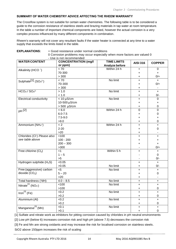#### **SUMMARY OF WATER CHEMISTRY ADVICE AFFECTING THE RHEEM WARRANTY**

**EXPLANATIONS:** + Good resistance under normal conditions

The Crossflow system is not suitable for certain water chemistries. The following table is to be considered a guide to the corrosion resistance of stainless steels and brazing materials in tap water at room temperature. In the table a number of important chemical components are listed, however the actual corrosion is a very complex process influenced by many different components in combination.

Rheem's warranty will not cover any resultant faults if the water heater is connected at any time to a water supply that exceeds the limits listed in the table.

|                                                          | 0 Corrosion problems may occur especially when more factors are valued 0 |                    |                        |                |
|----------------------------------------------------------|--------------------------------------------------------------------------|--------------------|------------------------|----------------|
| <b>WATER CONTENT</b>                                     | - Use is not recommended<br><b>CONCENTRATION (mg/l)</b>                  | <b>TIME LIMITS</b> |                        |                |
|                                                          | or ppm)                                                                  | Analyze before     | <b>AISI 316</b>        | <b>COPPER</b>  |
|                                                          | < 70                                                                     | Within 24 h        | $\ddot{}$              | 0              |
| Alkalinity (HCO <sup>-</sup> )                           | 70-300                                                                   |                    | +                      | +              |
|                                                          | > 300                                                                    |                    | +                      | $0/+$          |
| Sulphate <sup>[1]</sup> (SO <sub>4</sub> <sup>2-</sup> ) | < 70                                                                     | No limit           | +                      | $+$            |
|                                                          | 70-300                                                                   |                    | +                      | $0/+$          |
|                                                          | > 300                                                                    |                    | +                      |                |
| $HCO3/ SO42$                                             | > 1.0                                                                    | No limit           | $\ddot{}$              | $+$            |
|                                                          | < 1.0                                                                    |                    | +                      | $0/-$          |
| <b>Electrical conductivity</b>                           | $< 10 \mu$ S/cm                                                          | No limit           | $\ddot{}$              | 0              |
|                                                          | 10-500 µS/cm                                                             |                    | +                      | +              |
|                                                          | $> 500$ µS/cm                                                            |                    | $\ddot{}$              | 0              |
| $pH^{[2]}$                                               | < 6.0                                                                    | Within 24 h        | $\boldsymbol{0}$       | $\mathbf 0$    |
|                                                          | $6.0 - 7.5$                                                              |                    | +                      | $\mathbf 0$    |
|                                                          | $7.5 - 9.0$                                                              |                    | +                      | +              |
|                                                          | >9.0                                                                     |                    | +                      | 0              |
| Ammonium (NH <sub>4<sup>+)</sup></sub>                   | < 2                                                                      | Within 24 h        | $\ddot{}$              | $\ddot{}$      |
|                                                          | $2 - 20$                                                                 |                    | +                      | 0              |
|                                                          | $>20$                                                                    |                    | +                      |                |
| Chlorides (Cl <sup>-</sup> ) Please also                 | 100                                                                      |                    | +                      | $\ddot{}$      |
| see table above                                          | $100 - 200$                                                              |                    | +                      | +              |
|                                                          | $200 - 300$                                                              |                    | +                      | +              |
|                                                          | >300                                                                     |                    |                        | $0/+$          |
| Free chlorine (Cl2)                                      | $<$ 1                                                                    | Within 5 h         | +                      | +              |
|                                                          | $1 - 5$                                                                  |                    |                        | 0              |
|                                                          | >5                                                                       |                    |                        | $0/-$          |
| Hydrogen sulphide (H <sub>2</sub> S)                     | < 0.05                                                                   |                    | $\ddot{}$              | $\ddot{}$      |
|                                                          | >0.05                                                                    | No limit           | +                      | $0/-$          |
| Free (aggressive) carbon                                 | $\overline{5}$                                                           | No limit           | $\ddot{}$              | $\ddot{}$      |
| dioxide $(CO2)$                                          | $5 - 20$                                                                 |                    | +                      | 0              |
|                                                          | >20                                                                      |                    | +                      |                |
| Total hardness (°dH)                                     | $4.0 - 8.5$                                                              | No limit           | $\ddot{}$              | $\ddot{}$      |
| Nitrate <sup>[1]</sup> (NO <sub>3</sub> <sup>-</sup> )   | 100                                                                      | No limit           | $+$                    | $\pm$          |
|                                                          | >100                                                                     |                    | +                      | $\pmb{0}$      |
| Iron $^{[3]}$ (Fe)                                       | < 0.2                                                                    | No limit           | $\ddot{}$              | +              |
| Aluminium (Al)                                           | >0.2<br><0.2                                                             | No limit           | $\ddot{}$<br>$\ddot{}$ | 0<br>$\ddot{}$ |
|                                                          | >0.2                                                                     |                    |                        | 0              |
|                                                          | < 0.1                                                                    | No limit           | $\ddot{}$<br>$\ddot{}$ | $\ddot{}$      |
| Manganese <sup>[3]</sup> (Mn)                            | >0.1                                                                     |                    | $\ddot{}$              | 0              |
|                                                          |                                                                          |                    |                        |                |

[1] Sulfate and nitrate work as inhibitors for pitting corrosion caused by chlorides in pH neutral environments

[2] Low pH (below 6) increases corrosion risk and high pH (above 7.5) decreases the corrosion risk

[3] Fe and Mn are strong oxidants and may increase the risk for localised corrosion on stainless steels.

SiO2 above 150ppm increases the risk of scaling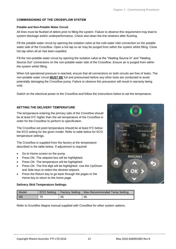#### <span id="page-14-0"></span>**COMMISSIONING OF THE CROSSFLOW SYSTEM**

#### **Potable and Non-Potable Water Circuit**

All lines must be flushed of debris prior to filling the system. Failure to observe this requirement may lead to system blockage and/or underperformance. Check and clean the line strainers after flushing.

Fill the potable water circuit by opening the isolation valve at the cold water inlet connection on the potable water side of the Crossflow. Open a hot tap so air may be purged from within the system whilst filling. Close hot tap when all air has been expelled.

Fill the non-potable water circuit by opening the isolation valve at the "Heating Source In" and "Heating Source Out" connections on the non-potable water side of the Crossflow. Ensure air is purged from within the system whilst filling.

When full operational pressure is reached, ensure that all connections on both circuits are free of leaks. The non-potable water circuit **MUST BE** full and pressurised before any other tests are conducted to avoid potentially damaging the Crossflow pump. Failure to observe this precaution will result in warranty being void.

Switch on the electrical power to the Crossflow and follow the instructions below to set the temperature.

#### <span id="page-14-1"></span>**SETTING THE DELIVERY TEMPERATURE**

The temperature entering the primary side of the Crossflow should be at least 5°C higher than the set temperature of the Crossflow in order for the Crossflow to perform to specification.

The Crossflow set point temperature should be at least 5°C below the ECO setting for the given model. Refer to table below for ECO temperature settings.

The Crossflow is supplied from the factory at the temperature described in the table below. If adjustment is required:

- Go to Home screen on the pump.
- Press OK. The setpoint box will be highlighted.
- Press OK. The temperature will be highlighted
- Press OK. The first digit will be highlighted. Use the Up/Down and Side keys to select the desired setpoint.
- Press the Return key to go back through the pages or the Home key to return to the home page.

#### **Delivery Skid Temperature Settings**



| Model |    |    | ECO Setting   Factory Setting   Max Recommended Temp Setting |
|-------|----|----|--------------------------------------------------------------|
| /65   | 70 | 65 | -65                                                          |

Refer to Grundfos Magna manual supplied with Crossflow for other system options.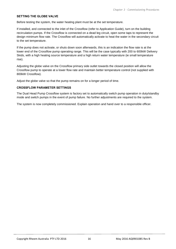#### <span id="page-15-0"></span>**SETTING THE GLOBE VALVE**

Before testing the system, the water heating plant must be at the set temperature.

If installed, and connected to the inlet of the Crossflow (refer to Application Guide), turn on the building recirculation pumps. If the Crossflow is connected on a dead leg circuit, open some taps to represent the design minimum flow rate. The Crossflow will automatically activate to heat the water in the secondary circuit to the set temperature.

If the pump does not activate, or shuts down soon afterwards, this is an indication the flow rate is at the lower end of the Crossflow pump operating range. This will be the case typically with 200 to 600kW Delivery Skids, with a high heating source temperature and a high return water temperature (ie small temperature rise).

Adjusting the globe valve on the Crossflow primary side outlet towards the closed position will allow the Crossflow pump to operate at a lower flow rate and maintain better temperature control (not supplied with 800kW Crossflow).

Adjust the globe valve so that the pump remains on for a longer period of time.

#### **CROSSFLOW PARAMETER SETTINGS**

The Dual Head Pump Crossflow system is factory set to automatically switch pump operation in duty/standby mode and switch pumps in the event of pump failure. No further adjustments are required to the system.

The system is now completely commissioned. Explain operation and hand over to a responsible officer.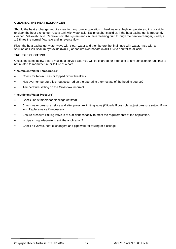#### <span id="page-16-0"></span>**CLEANING THE HEAT EXCHANGER**

Should the heat exchanger require cleaning, e.g. due to operation in hard water at high temperatures, it is possible to clean the heat exchanger. Use a tank with weak acid, 5% phosphoric acid or, if the heat exchanger is frequently cleaned, 5% oxalic acid. Remove from the system and circulate cleaning fluid through the heat exchanger, ideally at 1.5 times the normal flow rate and in reverse flow.

Flush the heat exchanger water ways with clean water and then before the final rinse with water, rinse with a solution of 1-2% sodium hydroxide (NaOH) or sodium bicarbonate (NaHCO<sub>3</sub>) to neutralise all acid.

#### <span id="page-16-1"></span>**TROUBLE SHOOTING**

Check the items below before making a service call. You will be charged for attending to any condition or fault that is not related to manufacture or failure of a part.

#### **"Insufficient Water Temperature"**

- Check for blown fuses or tripped circuit breakers.
- Has over-temperature lock-out occurred on the operating thermostats of the heating source?
- Temperature setting on the Crossflow incorrect.

#### **"Insufficient Water Pressure"**

- Check line strainers for blockage (if fitted).
- Check water pressure before and after pressure limiting valve (if fitted). If possible, adjust pressure setting if too low. Replace valve if necessary.
- Ensure pressure limiting valve is of sufficient capacity to meet the requirements of the application.
- Is pipe sizing adequate to suit the application?
- Check all valves, heat exchangers and pipework for fouling or blockage.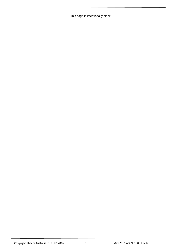This page is intentionally blank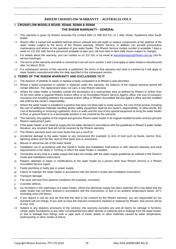#### **RHEEM CROSSFLOW WARRANTY – AUSTRALIA ONLY**

#### <span id="page-18-0"></span>**1. CROSSFLOW MODELS RD200, RD400, RD600 & RD800**

#### **THE RHEEM WARRANTY - GENERAL**

- 1.1 This warranty is given by Rheem Australia Pty Limited ABN 21 098 823 511 of 1 Alan Street, Rydalmere New South Wales.
- 1.2 Rheem offer a trained and qualified national service network who will repair or replace components at the address of the water heater subject to the terms of the Rheem warranty. Rheem Service, in addition can provide preventative maintenance and advice on the operation of your water heater. The Rheem Service contact number is available 7 days a week on 131 031 with Service personnel available to take your call from 8am to 8pm daily (hours subject to change).
- 1.3 For details about this warranty, you can contact us on 131 031 or by email at [warrantyenquiry@rheem.com.au](mailto:warrantyenquiry@rheem.com.au) (not for service bookings).
- 1.4 The terms of this warranty and what is covered by it are set out in section 2 and 3 and apply to water heaters manufactured after 1st March 2016.
- 1.5 If a subsequent version of this warranty is published, the terms of that warranty and what is covered by it will apply to water heaters manufactured after the date specified in the subsequent version.

#### **2. TERMS OF THE RHEEM WARRANTY AND EXCLUSIONS TO IT**

- 2.1 The decision of whether to repair or replace a faulty component is at Rheem's sole discretion.
- 2.2 Where a failed component or cylinder is replaced under this warranty, the balance of the original warranty period will remain effective. The replacement does not carry a new Rheem warranty.
- 2.3 Where the water heater is installed outside the boundaries of a metropolitan area as defined by Rheem or further than 25 km from either a regional Rheem branch office or an Accredited Rheem Service Agent's office, the cost of transport, insurance and travelling between the nearest branch office or Rheem Accredited Service Agent's office and the installed site shall be the owner's responsibility.
- 2.4 Where the water heater is installed in a position that does not allow safe or ready access, the cost of that access, including the cost of additional materials handling and/or safety equipment, shall be the owner's responsibility. In other words, the cost of dismantling or removing cupboards, doors or walls and the cost of any special equipment to bring the water heater to floor or ground level or to a serviceable position is not covered by this warranty.
- 2.5 This warranty only applies to the original and genuine Rheem water heater in its original installed location and any genuine Rheem replacement parts.
- 2.6 If the water heater is not sized to supply the hot water demand in accordance with the guidelines in Rheem's water heater literature, any resultant fault will not be covered by the Rheem warranty.
- 2.7 The Rheem warranty does not cover faults that are a result of:
- a) Accidental damage to the water heater or any component (for example: (i) Acts of God such as floods, storms, fires, lightning strikes and the like; and (ii) third party acts or omissions).
- b) Misuse or abnormal use of the water heater.
- c) Installation not in accordance with the Owner's Guide and Installation Instructions or with relevant statutory and local requirements in the State or Territory in which the water heater is installed.
- d) Connection at any time to a water supply that does not comply with the water supply guidelines as outlined in the Owner's Guide and Installation Instructions.
- e) Repairs, attempts to repair or modifications to the water heater by a person other than Rheem Service or a Rheem Accredited Service Agent.
- f) Faulty plumbing or faulty gas or power supply.
- g) Failure to maintain the water heater in accordance with the Owner's Guide and Installation Instructions.
- h) Transport damage.
- i) Fair wear and tear from adverse conditions (for example, corrosion).
- j) Cosmetic defects.
- k) Ice formation in the waterways of a water heater: where the electricity supply has been switched off or has failed and the water heater has not been drained in accordance with the instructions; or due to an ambient temperature below -20°C (including wind chill factor).
- 2.8 If you require a call out and we find that the fault is not covered by the Rheem warranty, you are responsible for our standard call out charge. If you wish to have the relevant component repaired or replaced by Rheem, that service will be at your cost.
- 2.9 Subject to any statutory provisions to the contrary, this warranty excludes any and all claims for damage to furniture, carpet, walls, foundations or any other consequential loss either directly or indirectly due to leakage from the water heater, or due to leakage from fittings and/ or pipe work of metal, plastic or other materials caused by water temperature, workmanship or other modes of failure.